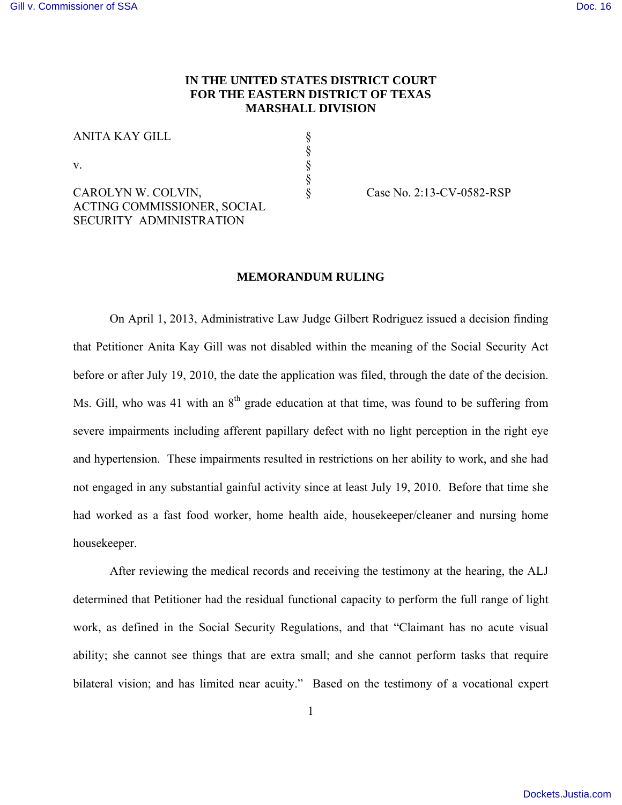# **IN THE UNITED STATES DISTRICT COURT FOR THE EASTERN DISTRICT OF TEXAS MARSHALL DIVISION**

§ § § §

|--|

v.

CAROLYN W. COLVIN, ACTING COMMISSIONER, SOCIAL SECURITY ADMINISTRATION

§ Case No. 2:13-CV-0582-RSP

# **MEMORANDUM RULING**

On April 1, 2013, Administrative Law Judge Gilbert Rodriguez issued a decision finding that Petitioner Anita Kay Gill was not disabled within the meaning of the Social Security Act before or after July 19, 2010, the date the application was filed, through the date of the decision. Ms. Gill, who was 41 with an  $8<sup>th</sup>$  grade education at that time, was found to be suffering from severe impairments including afferent papillary defect with no light perception in the right eye and hypertension. These impairments resulted in restrictions on her ability to work, and she had not engaged in any substantial gainful activity since at least July 19, 2010. Before that time she had worked as a fast food worker, home health aide, housekeeper/cleaner and nursing home housekeeper.

After reviewing the medical records and receiving the testimony at the hearing, the ALJ determined that Petitioner had the residual functional capacity to perform the full range of light work, as defined in the Social Security Regulations, and that "Claimant has no acute visual ability; she cannot see things that are extra small; and she cannot perform tasks that require bilateral vision; and has limited near acuity." Based on the testimony of a vocational expert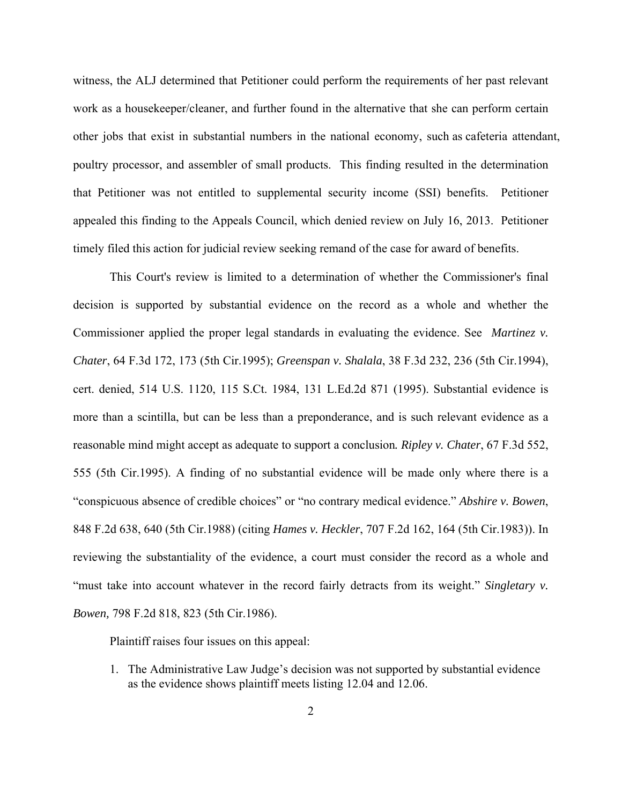witness, the ALJ determined that Petitioner could perform the requirements of her past relevant work as a housekeeper/cleaner, and further found in the alternative that she can perform certain other jobs that exist in substantial numbers in the national economy, such as cafeteria attendant, poultry processor, and assembler of small products. This finding resulted in the determination that Petitioner was not entitled to supplemental security income (SSI) benefits. Petitioner appealed this finding to the Appeals Council, which denied review on July 16, 2013. Petitioner timely filed this action for judicial review seeking remand of the case for award of benefits.

This Court's review is limited to a determination of whether the Commissioner's final decision is supported by substantial evidence on the record as a whole and whether the Commissioner applied the proper legal standards in evaluating the evidence. See *Martinez v. Chater*, 64 F.3d 172, 173 (5th Cir.1995); *Greenspan v. Shalala*, 38 F.3d 232, 236 (5th Cir.1994), cert. denied, 514 U.S. 1120, 115 S.Ct. 1984, 131 L.Ed.2d 871 (1995). Substantial evidence is more than a scintilla, but can be less than a preponderance, and is such relevant evidence as a reasonable mind might accept as adequate to support a conclusion*. Ripley v. Chater*, 67 F.3d 552, 555 (5th Cir.1995). A finding of no substantial evidence will be made only where there is a "conspicuous absence of credible choices" or "no contrary medical evidence." *Abshire v. Bowen*, 848 F.2d 638, 640 (5th Cir.1988) (citing *Hames v. Heckler*, 707 F.2d 162, 164 (5th Cir.1983)). In reviewing the substantiality of the evidence, a court must consider the record as a whole and "must take into account whatever in the record fairly detracts from its weight." *Singletary v. Bowen,* 798 F.2d 818, 823 (5th Cir.1986).

Plaintiff raises four issues on this appeal:

1. The Administrative Law Judge's decision was not supported by substantial evidence as the evidence shows plaintiff meets listing 12.04 and 12.06.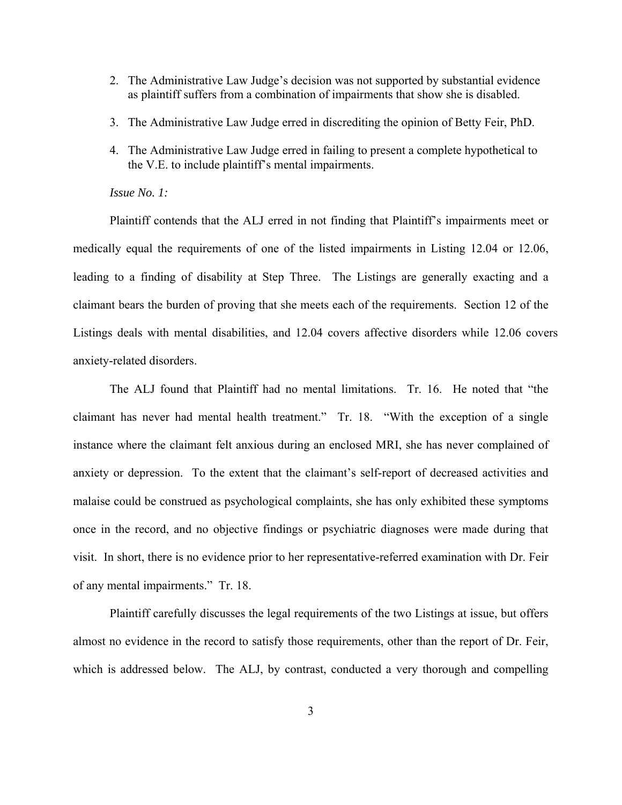- 2. The Administrative Law Judge's decision was not supported by substantial evidence as plaintiff suffers from a combination of impairments that show she is disabled.
- 3. The Administrative Law Judge erred in discrediting the opinion of Betty Feir, PhD.
- 4. The Administrative Law Judge erred in failing to present a complete hypothetical to the V.E. to include plaintiff's mental impairments.

## *Issue No. 1:*

Plaintiff contends that the ALJ erred in not finding that Plaintiff's impairments meet or medically equal the requirements of one of the listed impairments in Listing 12.04 or 12.06, leading to a finding of disability at Step Three. The Listings are generally exacting and a claimant bears the burden of proving that she meets each of the requirements. Section 12 of the Listings deals with mental disabilities, and 12.04 covers affective disorders while 12.06 covers anxiety-related disorders.

The ALJ found that Plaintiff had no mental limitations. Tr. 16. He noted that "the claimant has never had mental health treatment." Tr. 18. "With the exception of a single instance where the claimant felt anxious during an enclosed MRI, she has never complained of anxiety or depression. To the extent that the claimant's self-report of decreased activities and malaise could be construed as psychological complaints, she has only exhibited these symptoms once in the record, and no objective findings or psychiatric diagnoses were made during that visit. In short, there is no evidence prior to her representative-referred examination with Dr. Feir of any mental impairments." Tr. 18.

Plaintiff carefully discusses the legal requirements of the two Listings at issue, but offers almost no evidence in the record to satisfy those requirements, other than the report of Dr. Feir, which is addressed below. The ALJ, by contrast, conducted a very thorough and compelling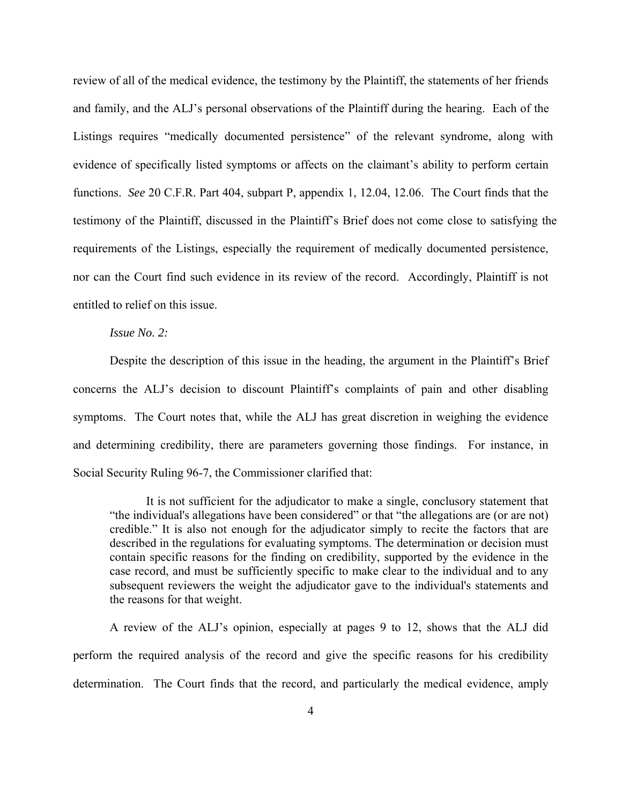review of all of the medical evidence, the testimony by the Plaintiff, the statements of her friends and family, and the ALJ's personal observations of the Plaintiff during the hearing. Each of the Listings requires "medically documented persistence" of the relevant syndrome, along with evidence of specifically listed symptoms or affects on the claimant's ability to perform certain functions. *See* 20 C.F.R. Part 404, subpart P, appendix 1, 12.04, 12.06. The Court finds that the testimony of the Plaintiff, discussed in the Plaintiff's Brief does not come close to satisfying the requirements of the Listings, especially the requirement of medically documented persistence, nor can the Court find such evidence in its review of the record. Accordingly, Plaintiff is not entitled to relief on this issue.

### *Issue No. 2:*

Despite the description of this issue in the heading, the argument in the Plaintiff's Brief concerns the ALJ's decision to discount Plaintiff's complaints of pain and other disabling symptoms. The Court notes that, while the ALJ has great discretion in weighing the evidence and determining credibility, there are parameters governing those findings. For instance, in Social Security Ruling 96-7, the Commissioner clarified that:

It is not sufficient for the adjudicator to make a single, conclusory statement that "the individual's allegations have been considered" or that "the allegations are (or are not) credible." It is also not enough for the adjudicator simply to recite the factors that are described in the regulations for evaluating symptoms. The determination or decision must contain specific reasons for the finding on credibility, supported by the evidence in the case record, and must be sufficiently specific to make clear to the individual and to any subsequent reviewers the weight the adjudicator gave to the individual's statements and the reasons for that weight.

A review of the ALJ's opinion, especially at pages 9 to 12, shows that the ALJ did perform the required analysis of the record and give the specific reasons for his credibility determination. The Court finds that the record, and particularly the medical evidence, amply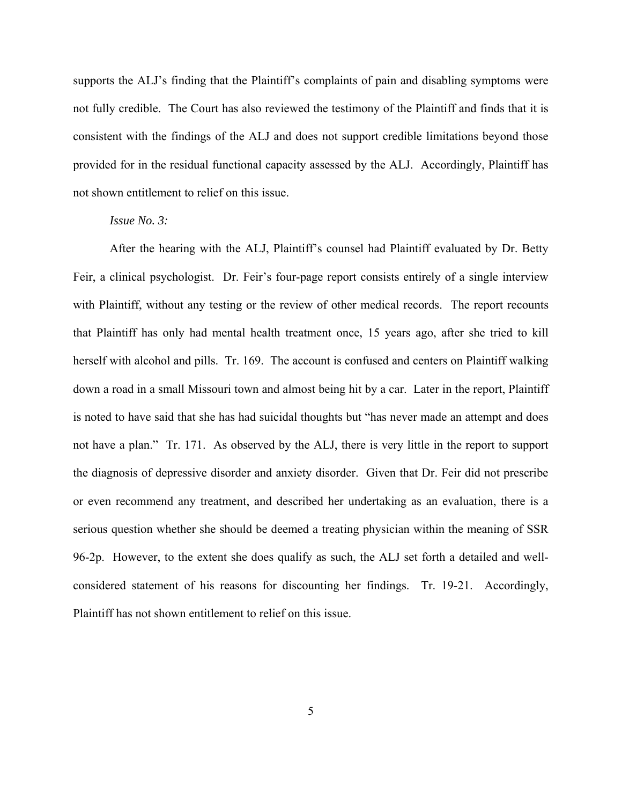supports the ALJ's finding that the Plaintiff's complaints of pain and disabling symptoms were not fully credible. The Court has also reviewed the testimony of the Plaintiff and finds that it is consistent with the findings of the ALJ and does not support credible limitations beyond those provided for in the residual functional capacity assessed by the ALJ. Accordingly, Plaintiff has not shown entitlement to relief on this issue.

### *Issue No. 3:*

After the hearing with the ALJ, Plaintiff's counsel had Plaintiff evaluated by Dr. Betty Feir, a clinical psychologist. Dr. Feir's four-page report consists entirely of a single interview with Plaintiff, without any testing or the review of other medical records. The report recounts that Plaintiff has only had mental health treatment once, 15 years ago, after she tried to kill herself with alcohol and pills. Tr. 169. The account is confused and centers on Plaintiff walking down a road in a small Missouri town and almost being hit by a car. Later in the report, Plaintiff is noted to have said that she has had suicidal thoughts but "has never made an attempt and does not have a plan." Tr. 171. As observed by the ALJ, there is very little in the report to support the diagnosis of depressive disorder and anxiety disorder. Given that Dr. Feir did not prescribe or even recommend any treatment, and described her undertaking as an evaluation, there is a serious question whether she should be deemed a treating physician within the meaning of SSR 96-2p. However, to the extent she does qualify as such, the ALJ set forth a detailed and wellconsidered statement of his reasons for discounting her findings. Tr. 19-21. Accordingly, Plaintiff has not shown entitlement to relief on this issue.